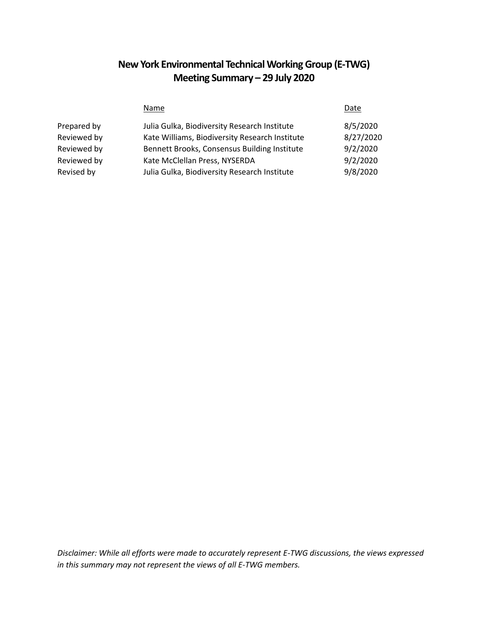# **New York Environmental Technical Working Group (E-TWG) Meeting Summary – 29 July 2020**

|             | Name                                           | Date      |
|-------------|------------------------------------------------|-----------|
| Prepared by | Julia Gulka, Biodiversity Research Institute   | 8/5/2020  |
| Reviewed by | Kate Williams, Biodiversity Research Institute | 8/27/2020 |
| Reviewed by | Bennett Brooks, Consensus Building Institute   | 9/2/2020  |
| Reviewed by | Kate McClellan Press, NYSERDA                  | 9/2/2020  |
| Revised by  | Julia Gulka, Biodiversity Research Institute   | 9/8/2020  |

*Disclaimer: While all efforts were made to accurately represent E-TWG discussions, the views expressed in this summary may not represent the views of all E-TWG members.*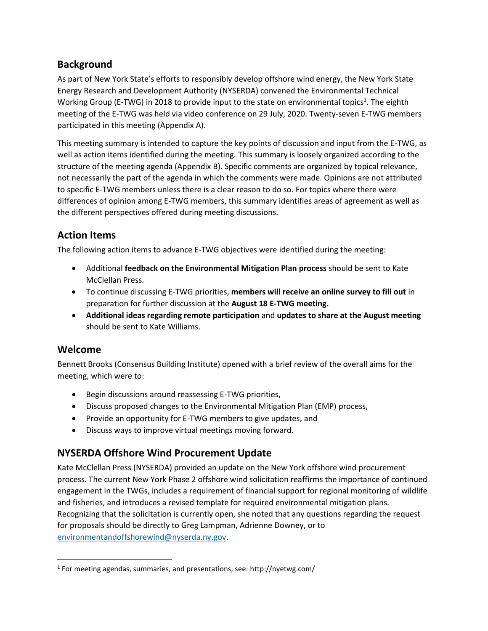## **Background**

As part of New York State's efforts to responsibly develop offshore wind energy, the New York State Energy Research and Development Authority (NYSERDA) convened the Environmental Technical Working Group (E-TWG) in 2018 to provide input to the state on environmental topics<sup>1</sup>. The eighth meeting of the E-TWG was held via video conference on 29 July, 2020. Twenty-seven E-TWG members participated in this meeting (Appendix A).

This meeting summary is intended to capture the key points of discussion and input from the E-TWG, as well as action items identified during the meeting. This summary is loosely organized according to the structure of the meeting agenda (Appendix B). Specific comments are organized by topical relevance, not necessarily the part of the agenda in which the comments were made. Opinions are not attributed to specific E-TWG members unless there is a clear reason to do so. For topics where there were differences of opinion among E-TWG members, this summary identifies areas of agreement as well as the different perspectives offered during meeting discussions.

# **Action Items**

The following action items to advance E-TWG objectives were identified during the meeting:

- Additional **feedback on the Environmental Mitigation Plan process** should be sent to Kate McClellan Press.
- To continue discussing E-TWG priorities, **members will receive an online survey to fill out** in preparation for further discussion at the **August 18 E-TWG meeting.**
- **Additional ideas regarding remote participation** and **updates to share at the August meeting** should be sent to Kate Williams.

### **Welcome**

 $\overline{\phantom{a}}$ 

Bennett Brooks (Consensus Building Institute) opened with a brief review of the overall aims for the meeting, which were to:

- Begin discussions around reassessing E-TWG priorities,
- Discuss proposed changes to the Environmental Mitigation Plan (EMP) process,
- Provide an opportunity for E-TWG members to give updates, and
- Discuss ways to improve virtual meetings moving forward.

### **NYSERDA Offshore Wind Procurement Update**

Kate McClellan Press (NYSERDA) provided an update on the New York offshore wind procurement process. The current New York Phase 2 offshore wind solicitation reaffirms the importance of continued engagement in the TWGs, includes a requirement of financial support for regional monitoring of wildlife and fisheries, and introduces a revised template for required environmental mitigation plans. Recognizing that the solicitation is currently open, she noted that any questions regarding the request for proposals should be directly to Greg Lampman, Adrienne Downey, or to [environmentandoffshorewind@nyserda.ny.gov.](mailto:environmentandoffshorewind@nyserda.ny.gov)

<sup>&</sup>lt;sup>1</sup> For meeting agendas, summaries, and presentations, see: http://nyetwg.com/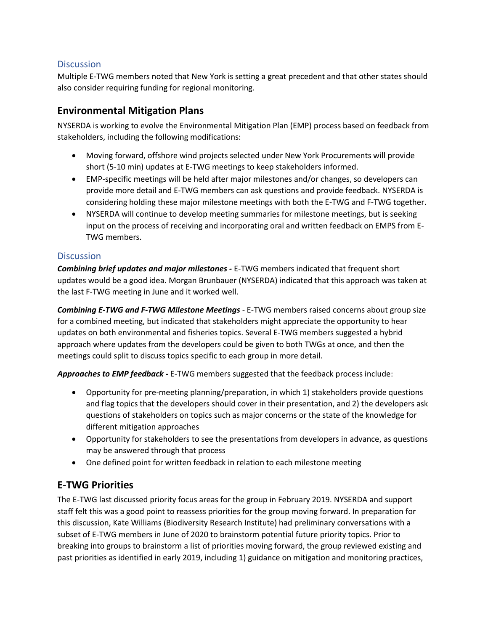#### **Discussion**

Multiple E-TWG members noted that New York is setting a great precedent and that other states should also consider requiring funding for regional monitoring.

### **Environmental Mitigation Plans**

NYSERDA is working to evolve the Environmental Mitigation Plan (EMP) process based on feedback from stakeholders, including the following modifications:

- Moving forward, offshore wind projects selected under New York Procurements will provide short (5-10 min) updates at E-TWG meetings to keep stakeholders informed.
- EMP-specific meetings will be held after major milestones and/or changes, so developers can provide more detail and E-TWG members can ask questions and provide feedback. NYSERDA is considering holding these major milestone meetings with both the E-TWG and F-TWG together.
- NYSERDA will continue to develop meeting summaries for milestone meetings, but is seeking input on the process of receiving and incorporating oral and written feedback on EMPS from E-TWG members.

#### **Discussion**

*Combining brief updates and major milestones -* E-TWG members indicated that frequent short updates would be a good idea. Morgan Brunbauer (NYSERDA) indicated that this approach was taken at the last F-TWG meeting in June and it worked well.

*Combining E-TWG and F-TWG Milestone Meetings* - E-TWG members raised concerns about group size for a combined meeting, but indicated that stakeholders might appreciate the opportunity to hear updates on both environmental and fisheries topics. Several E-TWG members suggested a hybrid approach where updates from the developers could be given to both TWGs at once, and then the meetings could split to discuss topics specific to each group in more detail.

*Approaches to EMP feedback -* E-TWG members suggested that the feedback process include:

- Opportunity for pre-meeting planning/preparation, in which 1) stakeholders provide questions and flag topics that the developers should cover in their presentation, and 2) the developers ask questions of stakeholders on topics such as major concerns or the state of the knowledge for different mitigation approaches
- Opportunity for stakeholders to see the presentations from developers in advance, as questions may be answered through that process
- One defined point for written feedback in relation to each milestone meeting

### **E-TWG Priorities**

The E-TWG last discussed priority focus areas for the group in February 2019. NYSERDA and support staff felt this was a good point to reassess priorities for the group moving forward. In preparation for this discussion, Kate Williams (Biodiversity Research Institute) had preliminary conversations with a subset of E-TWG members in June of 2020 to brainstorm potential future priority topics. Prior to breaking into groups to brainstorm a list of priorities moving forward, the group reviewed existing and past priorities as identified in early 2019, including 1) guidance on mitigation and monitoring practices,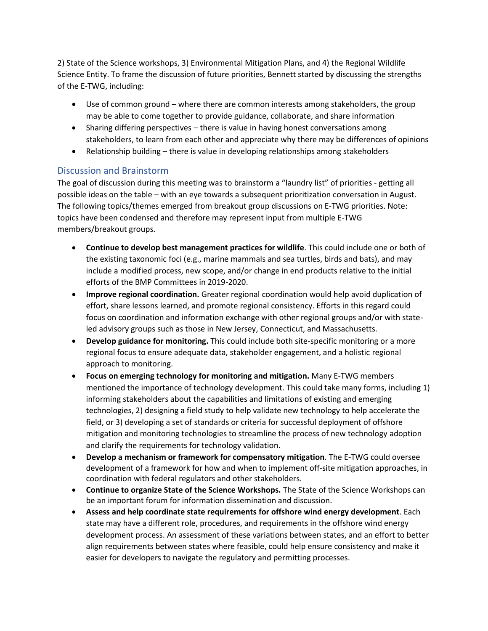2) State of the Science workshops, 3) Environmental Mitigation Plans, and 4) the Regional Wildlife Science Entity. To frame the discussion of future priorities, Bennett started by discussing the strengths of the E-TWG, including:

- Use of common ground where there are common interests among stakeholders, the group may be able to come together to provide guidance, collaborate, and share information
- Sharing differing perspectives there is value in having honest conversations among stakeholders, to learn from each other and appreciate why there may be differences of opinions
- Relationship building there is value in developing relationships among stakeholders

#### Discussion and Brainstorm

The goal of discussion during this meeting was to brainstorm a "laundry list" of priorities - getting all possible ideas on the table – with an eye towards a subsequent prioritization conversation in August. The following topics/themes emerged from breakout group discussions on E-TWG priorities. Note: topics have been condensed and therefore may represent input from multiple E-TWG members/breakout groups.

- **Continue to develop best management practices for wildlife**. This could include one or both of the existing taxonomic foci (e.g., marine mammals and sea turtles, birds and bats), and may include a modified process, new scope, and/or change in end products relative to the initial efforts of the BMP Committees in 2019-2020.
- **Improve regional coordination.** Greater regional coordination would help avoid duplication of effort, share lessons learned, and promote regional consistency. Efforts in this regard could focus on coordination and information exchange with other regional groups and/or with stateled advisory groups such as those in New Jersey, Connecticut, and Massachusetts.
- **Develop guidance for monitoring.** This could include both site-specific monitoring or a more regional focus to ensure adequate data, stakeholder engagement, and a holistic regional approach to monitoring.
- **Focus on emerging technology for monitoring and mitigation.** Many E-TWG members mentioned the importance of technology development. This could take many forms, including 1) informing stakeholders about the capabilities and limitations of existing and emerging technologies, 2) designing a field study to help validate new technology to help accelerate the field, or 3) developing a set of standards or criteria for successful deployment of offshore mitigation and monitoring technologies to streamline the process of new technology adoption and clarify the requirements for technology validation.
- **Develop a mechanism or framework for compensatory mitigation**. The E-TWG could oversee development of a framework for how and when to implement off-site mitigation approaches, in coordination with federal regulators and other stakeholders.
- **Continue to organize State of the Science Workshops.** The State of the Science Workshops can be an important forum for information dissemination and discussion.
- **Assess and help coordinate state requirements for offshore wind energy development**. Each state may have a different role, procedures, and requirements in the offshore wind energy development process. An assessment of these variations between states, and an effort to better align requirements between states where feasible, could help ensure consistency and make it easier for developers to navigate the regulatory and permitting processes.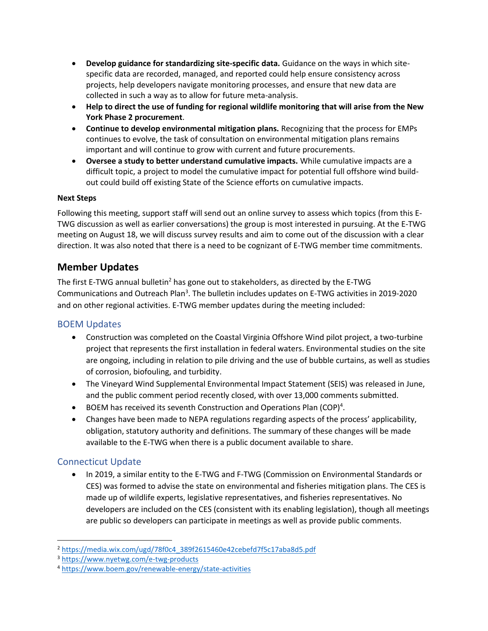- **Develop guidance for standardizing site-specific data.** Guidance on the ways in which sitespecific data are recorded, managed, and reported could help ensure consistency across projects, help developers navigate monitoring processes, and ensure that new data are collected in such a way as to allow for future meta-analysis.
- **Help to direct the use of funding for regional wildlife monitoring that will arise from the New York Phase 2 procurement**.
- **Continue to develop environmental mitigation plans.** Recognizing that the process for EMPs continues to evolve, the task of consultation on environmental mitigation plans remains important and will continue to grow with current and future procurements.
- **Oversee a study to better understand cumulative impacts.** While cumulative impacts are a difficult topic, a project to model the cumulative impact for potential full offshore wind buildout could build off existing State of the Science efforts on cumulative impacts.

#### **Next Steps**

Following this meeting, support staff will send out an online survey to assess which topics (from this E-TWG discussion as well as earlier conversations) the group is most interested in pursuing. At the E-TWG meeting on August 18, we will discuss survey results and aim to come out of the discussion with a clear direction. It was also noted that there is a need to be cognizant of E-TWG member time commitments.

### **Member Updates**

The first E-TWG annual bulletin<sup>2</sup> has gone out to stakeholders, as directed by the E-TWG Communications and Outreach Plan<sup>3</sup>. The bulletin includes updates on E-TWG activities in 2019-2020 and on other regional activities. E-TWG member updates during the meeting included:

#### BOEM Updates

- Construction was completed on the Coastal Virginia Offshore Wind pilot project, a two-turbine project that represents the first installation in federal waters. Environmental studies on the site are ongoing, including in relation to pile driving and the use of bubble curtains, as well as studies of corrosion, biofouling, and turbidity.
- The Vineyard Wind Supplemental Environmental Impact Statement (SEIS) was released in June, and the public comment period recently closed, with over 13,000 comments submitted.
- BOEM has received its seventh Construction and Operations Plan (COP)<sup>4</sup>.
- Changes have been made to NEPA regulations regarding aspects of the process' applicability, obligation, statutory authority and definitions. The summary of these changes will be made available to the E-TWG when there is a public document available to share.

#### Connecticut Update

 $\overline{a}$ 

• In 2019, a similar entity to the E-TWG and F-TWG (Commission on Environmental Standards or CES) was formed to advise the state on environmental and fisheries mitigation plans. The CES is made up of wildlife experts, legislative representatives, and fisheries representatives. No developers are included on the CES (consistent with its enabling legislation), though all meetings are public so developers can participate in meetings as well as provide public comments.

<sup>2</sup> [https://media.wix.com/ugd/78f0c4\\_389f2615460e42cebefd7f5c17aba8d5.pdf](https://media.wix.com/ugd/78f0c4_389f2615460e42cebefd7f5c17aba8d5.pdf)

<sup>3</sup> <https://www.nyetwg.com/e-twg-products>

<sup>4</sup> <https://www.boem.gov/renewable-energy/state-activities>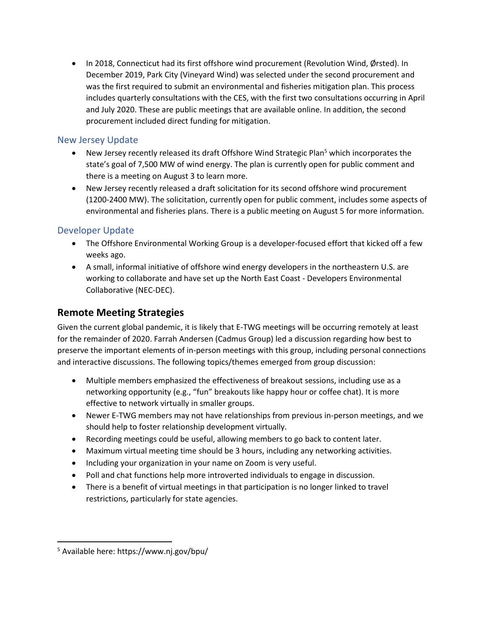• In 2018, Connecticut had its first offshore wind procurement (Revolution Wind, Ørsted). In December 2019, Park City (Vineyard Wind) was selected under the second procurement and was the first required to submit an environmental and fisheries mitigation plan. This process includes quarterly consultations with the CES, with the first two consultations occurring in April and July 2020. These are public meetings that are available online. In addition, the second procurement included direct funding for mitigation.

#### New Jersey Update

- New Jersey recently released its draft Offshore Wind Strategic Plan<sup>5</sup> which incorporates the state's goal of 7,500 MW of wind energy. The plan is currently open for public comment and there is a meeting on August 3 to learn more.
- New Jersey recently released a draft solicitation for its second offshore wind procurement (1200-2400 MW). The solicitation, currently open for public comment, includes some aspects of environmental and fisheries plans. There is a public meeting on August 5 for more information.

### Developer Update

- The Offshore Environmental Working Group is a developer-focused effort that kicked off a few weeks ago.
- A small, informal initiative of offshore wind energy developers in the northeastern U.S. are working to collaborate and have set up the North East Coast - Developers Environmental Collaborative (NEC-DEC).

### **Remote Meeting Strategies**

Given the current global pandemic, it is likely that E-TWG meetings will be occurring remotely at least for the remainder of 2020. Farrah Andersen (Cadmus Group) led a discussion regarding how best to preserve the important elements of in-person meetings with this group, including personal connections and interactive discussions. The following topics/themes emerged from group discussion:

- Multiple members emphasized the effectiveness of breakout sessions, including use as a networking opportunity (e.g., "fun" breakouts like happy hour or coffee chat). It is more effective to network virtually in smaller groups.
- Newer E-TWG members may not have relationships from previous in-person meetings, and we should help to foster relationship development virtually.
- Recording meetings could be useful, allowing members to go back to content later.
- Maximum virtual meeting time should be 3 hours, including any networking activities.
- Including your organization in your name on Zoom is very useful.
- Poll and chat functions help more introverted individuals to engage in discussion.
- There is a benefit of virtual meetings in that participation is no longer linked to travel restrictions, particularly for state agencies.

 $\overline{a}$ 

<sup>5</sup> Available here: https://www.nj.gov/bpu/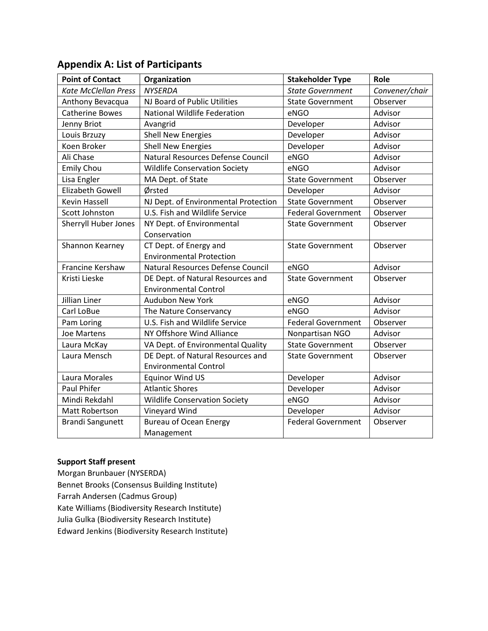| <b>Point of Contact</b>     | Organization                                                      | <b>Stakeholder Type</b>   | Role           |
|-----------------------------|-------------------------------------------------------------------|---------------------------|----------------|
| <b>Kate McClellan Press</b> | <b>NYSERDA</b>                                                    | <b>State Government</b>   | Convener/chair |
| Anthony Bevacqua            | NJ Board of Public Utilities                                      | <b>State Government</b>   | Observer       |
| <b>Catherine Bowes</b>      | <b>National Wildlife Federation</b>                               | eNGO                      | Advisor        |
| Jenny Briot                 | Avangrid                                                          | Developer                 | Advisor        |
| Louis Brzuzy                | <b>Shell New Energies</b>                                         | Developer                 | Advisor        |
| Koen Broker                 | <b>Shell New Energies</b>                                         | Developer                 | Advisor        |
| Ali Chase                   | Natural Resources Defense Council                                 | eNGO                      | Advisor        |
| <b>Emily Chou</b>           | <b>Wildlife Conservation Society</b>                              | eNGO                      | Advisor        |
| Lisa Engler                 | MA Dept. of State                                                 | <b>State Government</b>   | Observer       |
| <b>Elizabeth Gowell</b>     | Ørsted                                                            | Developer                 | Advisor        |
| <b>Kevin Hassell</b>        | NJ Dept. of Environmental Protection                              | <b>State Government</b>   | Observer       |
| Scott Johnston              | U.S. Fish and Wildlife Service                                    | <b>Federal Government</b> | Observer       |
| Sherryll Huber Jones        | NY Dept. of Environmental<br>Conservation                         | <b>State Government</b>   | Observer       |
| Shannon Kearney             | CT Dept. of Energy and                                            | <b>State Government</b>   | Observer       |
|                             | <b>Environmental Protection</b>                                   |                           |                |
| <b>Francine Kershaw</b>     | Natural Resources Defense Council                                 | eNGO                      | Advisor        |
| Kristi Lieske               | DE Dept. of Natural Resources and<br><b>Environmental Control</b> | <b>State Government</b>   | Observer       |
| Jillian Liner               | <b>Audubon New York</b>                                           | eNGO                      | Advisor        |
| Carl LoBue                  | The Nature Conservancy                                            | eNGO                      | Advisor        |
| Pam Loring                  | U.S. Fish and Wildlife Service                                    | <b>Federal Government</b> | Observer       |
| <b>Joe Martens</b>          | NY Offshore Wind Alliance                                         | Nonpartisan NGO           | Advisor        |
| Laura McKay                 | VA Dept. of Environmental Quality                                 | <b>State Government</b>   | Observer       |
| Laura Mensch                | DE Dept. of Natural Resources and<br><b>Environmental Control</b> | <b>State Government</b>   | Observer       |
| Laura Morales               | <b>Equinor Wind US</b>                                            | Developer                 | Advisor        |
| <b>Paul Phifer</b>          | <b>Atlantic Shores</b>                                            | Developer                 | Advisor        |
| Mindi Rekdahl               | <b>Wildlife Conservation Society</b>                              | eNGO                      | Advisor        |
| Matt Robertson              | Vineyard Wind                                                     | Developer                 | Advisor        |
| <b>Brandi Sangunett</b>     | <b>Bureau of Ocean Energy</b><br>Management                       | <b>Federal Government</b> | Observer       |

## **Appendix A: List of Participants**

### **Support Staff present**

Morgan Brunbauer (NYSERDA) Bennet Brooks (Consensus Building Institute) Farrah Andersen (Cadmus Group) Kate Williams (Biodiversity Research Institute) Julia Gulka (Biodiversity Research Institute) Edward Jenkins (Biodiversity Research Institute)